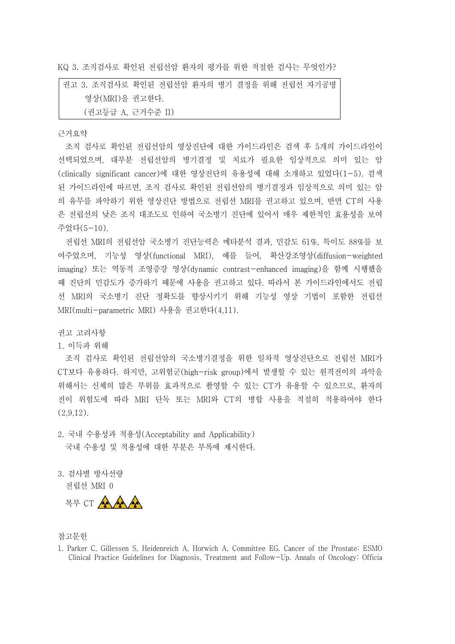KQ 3. 조직검사로 확인된 전립선암 환자의 평가를 위한 적절한 검사는 무엇인가?

권고 3. 조직검사로 확인된 전립선암 환자의 병기 결정을 위해 전립선 자기공명 영상(MRI)을 권고한다. (권고등급 A, 근거수준 II)

## 근거요약

조직 검사로 확인된 전립선암의 영상진단에 대한 가이드라인은 검색 후 5개의 가이드라인이 선택되었으며, 대부분 전립선암의 병기결정 및 치료가 필요한 임상적으로 의미 있는 암 (clinically significant cancer)에 대한 영상진단의 유용성에 대해 소개하고 있었다(1-5). 검색 된 가이드라인에 따르면, 조직 검사로 확인된 전립선암의 병기결정과 임상적으로 의미 있는 암 의 유무를 파악하기 위한 영상진단 방법으로 전립선 MRI를 권고하고 있으며, 반면 CT의 사용 은 전립선의 낮은 조직 대조도로 인하여 국소병기 진단에 있어서 매우 제한적인 효용성을 보여 주었다(5-10).

전립선 MRI의 전립선암 국소병기 진단능력은 메타분석 결과, 민감도 61%, 특이도 88%를 보 여주었으며, 기능성 영상(functional MRI), 예를 들어, 확산강조영상(diffusion-weighted imaging) 또는 역동적 조영증강 영상(dynamic contrast-enhanced imaging)을 함께 시행했을 때 진단의 민감도가 증가하기 때문에 사용을 권고하고 있다. 따라서 본 가이드라인에서도 전립 선 MRI의 국소병기 진단 정확도를 향상시키기 위해 기능성 영상 기법이 포함한 전립선 MRI(multi-parametric MRI) 사용을 권고한다(4,11).

권고 고려사항

## 1. 이득과 위해

조직 검사로 확인된 전립선암의 국소병기결정을 위한 일차적 영상진단으로 전립선 MRI가 CT보다 유용하다. 하지만, 고위험군(high-risk group)에서 발생할 수 있는 원격전이의 파악을 위해서는 신체의 많은 부위를 효과적으로 촬영할 수 있는 CT가 유용할 수 있으므로, 환자의 전이 위험도에 따라 MRI 단독 또는 MRI와 CT의 병합 사용을 적절히 적용하여야 한다 (2,9,12).

- 2. 국내 수용성과 적용성(Acceptability and Applicability) - 국내 수용성 및 적용성에 대한 부분은 부록에 제시한다.<br>3. 검사별 방사선량
- 전립선 MRI 0

복부 CT AAAA

## 참고문헌

<sup>1.</sup> Parker C, Gillessen S, Heidenreich A, Horwich A, Committee EG. Cancer of the Prostate: ESMO Clinical Practice Guidelines for Diagnosis, Treatment and Follow-Up. Annals of Oncology: Officia